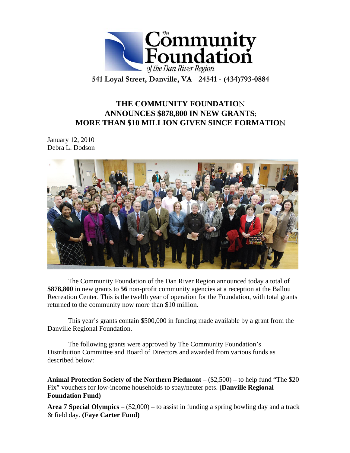

**541 Loyal Street, Danville, VA 24541 - (434)793-0884** 

# **THE COMMUNITY FOUNDATIO**N **ANNOUNCES \$878,800 IN NEW GRANTS**; **MORE THAN \$10 MILLION GIVEN SINCE FORMATIO**N

January 12, 2010 Debra L. Dodson



The Community Foundation of the Dan River Region announced today a total of **\$878,800** in new grants to **56** non-profit community agencies at a reception at the Ballou Recreation Center. This is the twelth year of operation for the Foundation, with total grants returned to the community now more than \$10 million.

This year's grants contain \$500,000 in funding made available by a grant from the Danville Regional Foundation.

The following grants were approved by The Community Foundation's Distribution Committee and Board of Directors and awarded from various funds as described below:

**Animal Protection Society of the Northern Piedmont** – (\$2,500) – to help fund "The \$20 Fix" vouchers for low-income households to spay/neuter pets. **(Danville Regional Foundation Fund)** 

**Area 7 Special Olympics** – (\$2,000) – to assist in funding a spring bowling day and a track & field day. **(Faye Carter Fund)**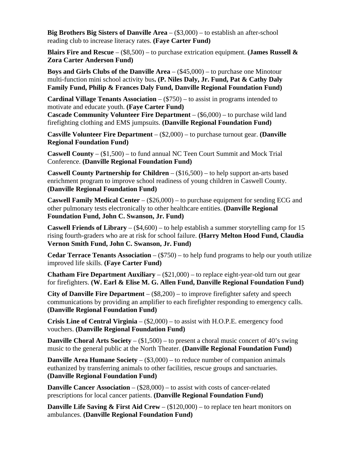**Big Brothers Big Sisters of Danville Area** – (\$3,000) – to establish an after-school reading club to increase literacy rates. **(Faye Carter Fund)** 

**Blairs Fire and Rescue** – (\$8,500) – to purchase extrication equipment. **(James Russell & Zora Carter Anderson Fund)** 

**Boys and Girls Clubs of the Danville Area** – (\$45,000) – to purchase one Minotour multi-function mini school activity bus**. (P. Niles Daly, Jr. Fund, Pat & Cathy Daly Family Fund, Philip & Frances Daly Fund, Danville Regional Foundation Fund)** 

**Cardinal Village Tenants Association** – (\$750) – to assist in programs intended to motivate and educate youth. **(Faye Carter Fund)** 

**Cascade Community Volunteer Fire Department** – (\$6,000) – to purchase wild land firefighting clothing and EMS jumpsuits. **(Danville Regional Foundation Fund)** 

**Casville Volunteer Fire Department** – (\$2,000) – to purchase turnout gear. **(Danville Regional Foundation Fund)** 

**Caswell County** – (\$1,500) – to fund annual NC Teen Court Summit and Mock Trial Conference. **(Danville Regional Foundation Fund)** 

**Caswell County Partnership for Children** – (\$16,500) – to help support an-arts based enrichment program to improve school readiness of young children in Caswell County. **(Danville Regional Foundation Fund)** 

**Caswell Family Medical Center** – (\$26,000) – to purchase equipment for sending ECG and other pulmonary tests electronically to other healthcare entities. **(Danville Regional Foundation Fund, John C. Swanson, Jr. Fund)** 

**Caswell Friends of Library** – (\$4,600) – to help establish a summer storytelling camp for 15 rising fourth-graders who are at risk for school failure. **(Harry Melton Hood Fund, Claudia Vernon Smith Fund, John C. Swanson, Jr. Fund)** 

**Cedar Terrace Tenants Association** – (\$750) – to help fund programs to help our youth utilize improved life skills. **(Faye Carter Fund)** 

**Chatham Fire Department Auxiliary** – (\$21,000) – to replace eight-year-old turn out gear for firefighters. **(W. Earl & Elise M. G. Allen Fund, Danville Regional Foundation Fund)** 

**City of Danville Fire Department** – (\$8,200) – to improve firefighter safety and speech communications by providing an amplifier to each firefighter responding to emergency calls. **(Danville Regional Foundation Fund)** 

**Crisis Line of Central Virginia** – (\$2,000) – to assist with H.O.P.E. emergency food vouchers. **(Danville Regional Foundation Fund)** 

**Danville Choral Arts Society** – (\$1,500) – to present a choral music concert of 40's swing music to the general public at the North Theater. **(Danville Regional Foundation Fund)** 

**Danville Area Humane Society** – (\$3,000) – to reduce number of companion animals euthanized by transferring animals to other facilities, rescue groups and sanctuaries. **(Danville Regional Foundation Fund)** 

**Danville Cancer Association** – (\$28,000) – to assist with costs of cancer-related prescriptions for local cancer patients. **(Danville Regional Foundation Fund)** 

**Danville Life Saving & First Aid Crew** – (\$120,000) – to replace ten heart monitors on ambulances. **(Danville Regional Foundation Fund)**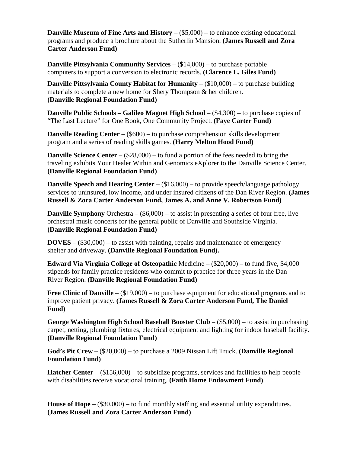**Danville Museum of Fine Arts and History** – (\$5,000) – to enhance existing educational programs and produce a brochure about the Sutherlin Mansion. **(James Russell and Zora Carter Anderson Fund)** 

**Danville Pittsylvania Community Services** – (\$14,000) – to purchase portable computers to support a conversion to electronic records. **(Clarence L. Giles Fund)** 

**Danville Pittsylvania County Habitat for Humanity – (\$10,000) – to purchase building** materials to complete a new home for Shery Thompson & her children. **(Danville Regional Foundation Fund)** 

**Danville Public Schools – Galileo Magnet High School – (\$4,300) – to purchase copies of** "The Last Lecture" for One Book, One Community Project. **(Faye Carter Fund)** 

**Danville Reading Center** – (\$600) – to purchase comprehension skills development program and a series of reading skills games. **(Harry Melton Hood Fund)** 

**Danville Science Center** – (\$28,000) – to fund a portion of the fees needed to bring the traveling exhibits Your Healer Within and Genomics eXplorer to the Danville Science Center. **(Danville Regional Foundation Fund)** 

**Danville Speech and Hearing Center – (\$16,000) – to provide speech/language pathology** services to uninsured, low income, and under insured citizens of the Dan River Region. **(James Russell & Zora Carter Anderson Fund, James A. and Anne V. Robertson Fund)** 

**Danville Symphony** Orchestra – (\$6,000) – to assist in presenting a series of four free, live orchestral music concerts for the general public of Danville and Southside Virginia. **(Danville Regional Foundation Fund)** 

**DOVES** – (\$30,000) – to assist with painting, repairs and maintenance of emergency shelter and driveway. **(Danville Regional Foundation Fund).** 

**Edward Via Virginia College of Osteopathic** Medicine – (\$20,000) – to fund five, \$4,000 stipends for family practice residents who commit to practice for three years in the Dan River Region. **(Danville Regional Foundation Fund)** 

Free Clinic of Danville – (\$19,000) – to purchase equipment for educational programs and to improve patient privacy. **(James Russell & Zora Carter Anderson Fund, The Daniel Fund)** 

**George Washington High School Baseball Booster Club** – (\$5,000) – to assist in purchasing carpet, netting, plumbing fixtures, electrical equipment and lighting for indoor baseball facility. **(Danville Regional Foundation Fund)** 

**God's Pit Crew –** (\$20,000) – to purchase a 2009 Nissan Lift Truck. **(Danville Regional Foundation Fund)** 

**Hatcher Center** – (\$156,000) – to subsidize programs, services and facilities to help people with disabilities receive vocational training. **(Faith Home Endowment Fund)** 

**House of Hope** – (\$30,000) – to fund monthly staffing and essential utility expenditures. **(James Russell and Zora Carter Anderson Fund)**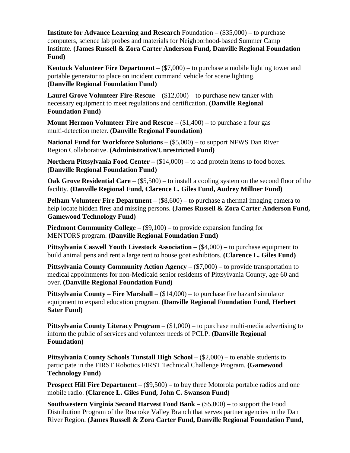**Institute for Advance Learning and Research** Foundation – (\$35,000) – to purchase computers, science lab probes and materials for Neighborhood-based Summer Camp Institute. **(James Russell & Zora Carter Anderson Fund, Danville Regional Foundation Fund)** 

**Kentuck Volunteer Fire Department** – (\$7,000) – to purchase a mobile lighting tower and portable generator to place on incident command vehicle for scene lighting. **(Danville Regional Foundation Fund)** 

**Laurel Grove Volunteer Fire-Rescue** – (\$12,000) – to purchase new tanker with necessary equipment to meet regulations and certification. **(Danville Regional Foundation Fund)** 

**Mount Hermon Volunteer Fire and Rescue** – (\$1,400) – to purchase a four gas multi-detection meter. **(Danville Regional Foundation)** 

**National Fund for Workforce Solutions** – (\$5,000) – to support NFWS Dan River Region Collaborative. **(Administrative/Unrestricted Fund)** 

**Northern Pittsylvania Food Center –**  $(\$14,000)$  **– to add protein items to food boxes. (Danville Regional Foundation Fund)** 

**Oak Grove Residential Care** – (\$5,500) – to install a cooling system on the second floor of the facility. **(Danville Regional Fund, Clarence L. Giles Fund, Audrey Millner Fund)** 

**Pelham Volunteer Fire Department** – (\$8,600) – to purchase a thermal imaging camera to help locate hidden fires and missing persons. **(James Russell & Zora Carter Anderson Fund, Gamewood Technology Fund)** 

**Piedmont Community College** – (\$9,100) – to provide expansion funding for MENTORS program. **(Danville Regional Foundation Fund)** 

**Pittsylvania Caswell Youth Livestock Association** – (\$4,000) – to purchase equipment to build animal pens and rent a large tent to house goat exhibitors. **(Clarence L. Giles Fund)** 

**Pittsylvania County Community Action Agency** – (\$7,000) – to provide transportation to medical appointments for non-Medicaid senior residents of Pittsylvania County, age 60 and over. **(Danville Regional Foundation Fund)** 

**Pittsylvania County – Fire Marshall** – (\$14,000) – to purchase fire hazard simulator equipment to expand education program. **(Danville Regional Foundation Fund, Herbert Sater Fund)** 

**Pittsylvania County Literacy Program** – (\$1,000) – to purchase multi-media advertising to inform the public of services and volunteer needs of PCLP. **(Danville Regional Foundation)** 

**Pittsylvania County Schools Tunstall High School – (\$2,000) – to enable students to** participate in the FIRST Robotics FIRST Technical Challenge Program. **(Gamewood Technology Fund)** 

**Prospect Hill Fire Department** – (\$9,500) – to buy three Motorola portable radios and one mobile radio. **(Clarence L. Giles Fund, John C. Swanson Fund)** 

**Southwestern Virginia Second Harvest Food Bank** – (\$5,000) – to support the Food Distribution Program of the Roanoke Valley Branch that serves partner agencies in the Dan River Region. **(James Russell & Zora Carter Fund, Danville Regional Foundation Fund,**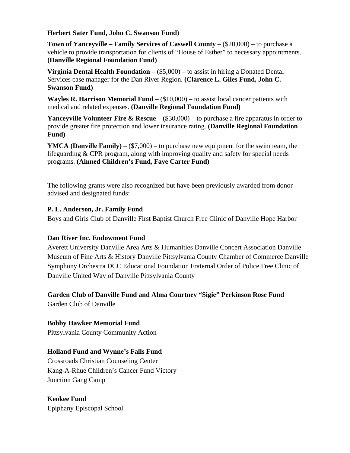### **Herbert Sater Fund, John C. Swanson Fund)**

**Town of Yanceyville – Family Services of Caswell County – (\$20,000) – to purchase a** vehicle to provide transportation for clients of "House of Esther" to necessary appointments. **(Danville Regional Foundation Fund)** 

**Virginia Dental Health Foundation** – (\$5,000) – to assist in hiring a Donated Dental Services case manager for the Dan River Region. **(Clarence L. Giles Fund, John C. Swanson Fund)** 

**Wayles R. Harrison Memorial Fund** – (\$10,000) – to assist local cancer patients with medical and related expenses. **(Danville Regional Foundation Fund)** 

**Yanceyville Volunteer Fire & Rescue** – (\$30,000) – to purchase a fire apparatus in order to provide greater fire protection and lower insurance rating. **(Danville Regional Foundation Fund)** 

**YMCA (Danville Family)**  $-$  (\$7,000) – to purchase new equipment for the swim team, the lifeguarding & CPR program, along with improving quality and safety for special needs programs. **(Ahmed Children's Fund, Faye Carter Fund)** 

The following grants were also recognized but have been previously awarded from donor advised and designated funds:

## **P. L. Anderson, Jr. Family Fund**

Boys and Girls Club of Danville First Baptist Church Free Clinic of Danville Hope Harbor

## **Dan River Inc. Endowment Fund**

Averett University Danville Area Arts & Humanities Danville Concert Association Danville Museum of Fine Arts & History Danville Pittsylvania County Chamber of Commerce Danville Symphony Orchestra DCC Educational Foundation Fraternal Order of Police Free Clinic of Danville United Way of Danville Pittsylvania County

# **Garden Club of Danville Fund and Alma Courtney "Sigie" Perkinson Rose Fund**

Garden Club of Danville

## **Bobby Hawker Memorial Fund**

Pittsylvania County Community Action

## **Holland Fund and Wynne's Falls Fund**

Crossroads Christian Counseling Center Kang-A-Rhue Children's Cancer Fund Victory Junction Gang Camp

# **Keokee Fund**

Epiphany Episcopal School